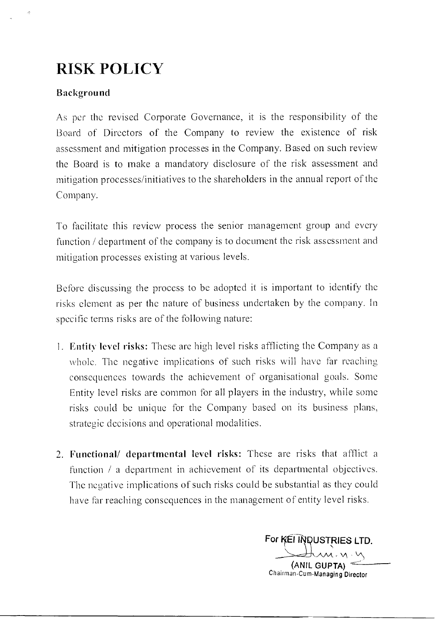# RISK POLICY

### Background

As per the revised Corporate Governance, it is the responsibility of the Board of Directors of the Company to review the existence of risk assessment and mitigation processes in the Company. Based on such review the Board is to make a mandatory disclosure of the risk assessment and mitigation processes/initiatives to the shareholders in the annual report of the Company.

To facilitate this review process the senior management group and every function / department of the company is to document the risk assessment and mitigation processes existing at various levels.

Before discussing the process to be adopted it is important to identify the risks element as per the nature of business undertaken by the company. In specific terms risks are of the following nature:

- I. Entity level risks: These are high level risks afflicting the Company as a whole. The negative implications of such risks will have far reaching consequences towards the achievement of organisational goals. Some Entity level risks are common for all players in the industry, while some risks could be unique for the Company based on its business plans, strategic decisions and operational modalities.
- 2. Functional/ departmental level risks: These are risks that afflict a function / a department in achievement of its departmental objectives. The negative implications of such risks could be substantial as they could have far reaching consequences in the management of entity level risks.

For **KEI INDUSTRIES LTD. v\** 

(ANIL GUPTA) Chairman-Cum-Managing Director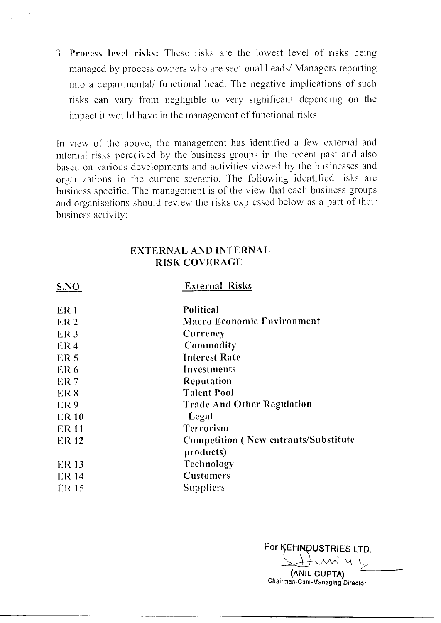3. Process level risks: These risks are the lowest level of risks being managed by process owners who are sectional heads/ Managers reporting into a departmental/ functional head. The negative implications of such risks can vary from negligible to very significant depending on the impact it would have in the management of functional risks.

In view of the above, the management has identified a few external and internal risks perceived by the business groups in the recent past and also based on various developments and activities viewed by the businesses and organizations in the current scenario. The following identified risks are business specific. The management is of the view that each business groups and organisations should review the risks expressed below as a part of their business activity:

#### EXTERNAL AND INTERNAL RISK COVERAGE

| S.NO            | <b>External Risks</b>                        |  |  |
|-----------------|----------------------------------------------|--|--|
| ER <sub>1</sub> | Political                                    |  |  |
| ER <sub>2</sub> | <b>Macro Economic Environment</b>            |  |  |
| ER <sub>3</sub> | Currency                                     |  |  |
| ER <sub>4</sub> | Commodity                                    |  |  |
| ER <sub>5</sub> | <b>Interest Rate</b>                         |  |  |
| ER <sub>6</sub> | Investments                                  |  |  |
| ER <sub>7</sub> | <b>Reputation</b>                            |  |  |
| ER <sub>8</sub> | <b>Talent Pool</b>                           |  |  |
| ER <sub>9</sub> | <b>Trade And Other Regulation</b>            |  |  |
| <b>ER10</b>     | Legal                                        |  |  |
| <b>ER11</b>     | Terrorism                                    |  |  |
| <b>ER12</b>     | <b>Competition (New entrants/Substitute)</b> |  |  |
|                 | products)                                    |  |  |
| <b>ER13</b>     | Technology                                   |  |  |
| <b>ER14</b>     | <b>Customers</b>                             |  |  |
| ER 15           | Suppliers                                    |  |  |

For KEHNDUSTRIES LTD.

**(ANIL GUPTA)**  Chairman-Cum-Managing Director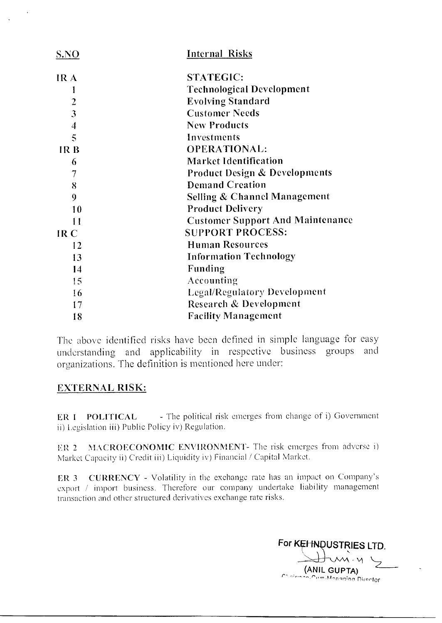| S.NO                    | <b>Internal Risks</b>                    |  |  |
|-------------------------|------------------------------------------|--|--|
| IR A                    | <b>STATEGIC:</b>                         |  |  |
| 1                       | <b>Technological Development</b>         |  |  |
| $\overline{\mathbf{c}}$ | <b>Evolving Standard</b>                 |  |  |
| $\overline{3}$          | <b>Customer Needs</b>                    |  |  |
| 4                       | <b>New Products</b>                      |  |  |
| $\overline{\mathbb{S}}$ | Investments                              |  |  |
| IR <sub>B</sub>         | <b>OPERATIONAL:</b>                      |  |  |
| 6                       | <b>Market Identification</b>             |  |  |
| 7                       | <b>Product Design &amp; Developments</b> |  |  |
| 8                       | <b>Demand Creation</b>                   |  |  |
| 9                       | <b>Selling &amp; Channel Management</b>  |  |  |
| 10                      | <b>Product Delivery</b>                  |  |  |
| 11                      | <b>Customer Support And Maintenance</b>  |  |  |
| IR <sub>C</sub>         | <b>SUPPORT PROCESS:</b>                  |  |  |
| 12                      | <b>Human Resources</b>                   |  |  |
| 13                      | <b>Information Technology</b>            |  |  |
| 14                      | Funding                                  |  |  |
| 15                      | Accounting                               |  |  |
| 16                      | <b>Legal/Regulatory Development</b>      |  |  |
| 17                      | <b>Research &amp; Development</b>        |  |  |
| 18                      | <b>Facility Management</b>               |  |  |

The above identified risks have been defined in simple language for easy understanding and applicability in respective business groups and organizations. The definition is mentioned here under:

# EXTERNAL RISK:

ER 1 POLITICAL - The political risk emerges from change of i) Government ii) Legislation iii) Public Policy iv) Regulation.

ER 2 MACROECONOMIC ENVIRONMENT- The risk emerges from adverse i) Market Capacity ii) Credit iii) Liquidity iv) Financial / Capital Market.

ER 3 CURRENCY - Volatility in the exchange rate has an impact on Company's export / import business. Therefore our company undertake liability management transaction and other structured derivatives exchange rate risks.

For KEHNDUSTRIES LTD.  $-92$ (ANIL GUPTA) rt. u-n-4,1;nr, ni,ortor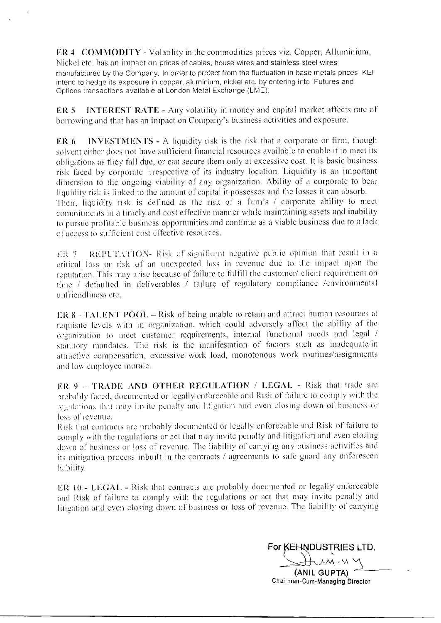ER 4 CONIMODITY - Volatility in the commodities prices viz. Copper, Alluminium, Nickel etc. has an impact on prices of cables, house wires and stainless steel wires manufactured by the Company. In order to protect from the fluctuation in base metals prices, KEI intend to hedge its exposure in copper, aluminium, nickel etc. by entering into Futures and Options transactions available at London Metal Exchange (LME).

ER 5 INTEREST RATE - Any volatility in money and capital market affects rate of borrowing and that has an impact on Company's business activities and exposure.

ER 6 INVESTMENTS - A liquidity risk is the risk that a corporate or firm, though solvent either does not have sufficient financial resources available to enable it to meet its obligations as they fall due, or can secure them only at excessive cost. It is basic business risk faced by corporate irrespective of its industry location. Liquidity is an important dimension to the ongoing viability of any organization. Ability of a corporate to bear liquidity risk is linked to the amount of capital it possesses and the losses it can absorb. Their, liquidity risk is defined as the risk of a firm's / corporate ability to meet commitments in a timely and cost effective manner while maintaining assets and inability to pursue profitable business opportunities and continue as a viable business due to a lack of access to sufficient cost effective resources.

ER: 7 REPUTATION- Risk of significant negative public opinion that result in a eritical loss or risk of an unexpected loss in revenue due to the impact upon the reputation. This may arise because of failure to fulfill the customer/ client requirement on time / defaulted in deliverables / failure of regulatory compliance /environmental unfriendliness etc.

ER 8 - TALENT POOL — Risk of being unable to retain and attract human resources at requisite levels with in organization, which could adversely affect the ability of the organization to meet customer requirements, internal functional needs and legal / statutory mandates. The risk is the manifestation of factors such as inadequate/in attractive compensation, excessive work load, monotonous work routines/assignments and low employee morale.

ER 9 — TRADE AND OTHER REGULATION / LEGAL - Risk that trade are probably faced, documented or legally enforceable and Risk of failure to comply with the regulations that may invite penalty and litigation and even closing down of business or loss of revenue.

Risk that contracts arc probably documented or legally enforceable and Risk of failure to comply with the regulations or act that may invite penalty and litigation and even closing down of business or loss of revenue. The liability of carrying any business activities and its mitigation process inbuilt in the contracts / agreements to safe guard any unforeseen liability.

ER 10 - LEGAL - Risk that contracts are probably documented or legally enforceable and Risk of failure to comply with the regulations or act that may invite penalty and litigation and even closing down of business or loss of revenue. The liability of carrying

For KEHNDUSTRIES LTD.

(ANIL GUPTA) Chairman-Cum-Managing Director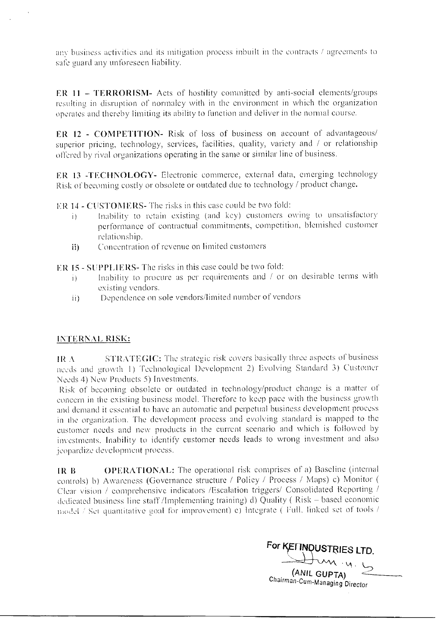any business activities and its mitigation process inbuilt in the contracts  $\ell$  agreements to sate guard any unforeseen liability.

ER 11 — TERRORISM- Acts of hostility committed by anti-social elements/groups resulting in disruption of normalcy with in the environment in which the organization operates and thereby limiting its ability to function and deliver in the normal course.

ER 12 - COMPETITION- Risk of loss of business on account of advantageous/ superior pricing, technology, services, facilities, quality, variety and / or relationship offered by rival organizations operating in the same or similar line of business.

ER 13 -TECHNOLOGY- Electronic commerce, external data, emerging technology Risk of becoming costly or obsolete or outdated due to technology / product change.

ER 14 - CUSTOMERS- The risks in this case could be two fold:

- i) Inability to retain existing (and key) customers owing to unsatisfactory performance of contractual commitments, competition, blemished customer relationship.
- Concentration of revenue on limited customers  $\mathbf{ii}$

ER IS - SUPPLIERS- The risks in this case could be two fold:

- i) Inability to procure as per requirements and / or on desirable terms with existing vendors.
- Dependence on sole vendors/limited number of vendors  $\mathbf{ii}$

#### INTERNAL RISK:

IR  $\Lambda$  STRATEGIC: The strategic risk covers basically three aspects of business needs and growth 1) Technological Development 2) Evolving Standard 3) Customer Needs 4) New Products 5) Investments.

Risk of becoming obsolete or outdated in technology/product change is a matter of concern in the existing business model. Therefore to keep pace with the business growth and demand it essential to have an automatic and perpetual business development process in the organization. The development process and evolving standard is mapped to the customer needs and new products in the current scenario and which is followed by investments. Inability to identify customer needs leads to wrong investment and also jeopardize development process.

IR B OPERATIONAL: The operational risk comprises of a) Baseline (internal controls) b) Awareness (Governance structure / Policy / Process / Maps) c) Monitor ( Clear vision / comprehensive indicators /Escalation triggers/ Consolidated Reporting / dedicated business line staff /Implementing training) d) Quality ( Risk — based economic model / Set quantitative goal for improvement) e) Integrate ( Full, linked set of tools /

For **KETTNQUSTRIES LTD.** (ANIL GUPTA) Chairman-Cum-Managing Director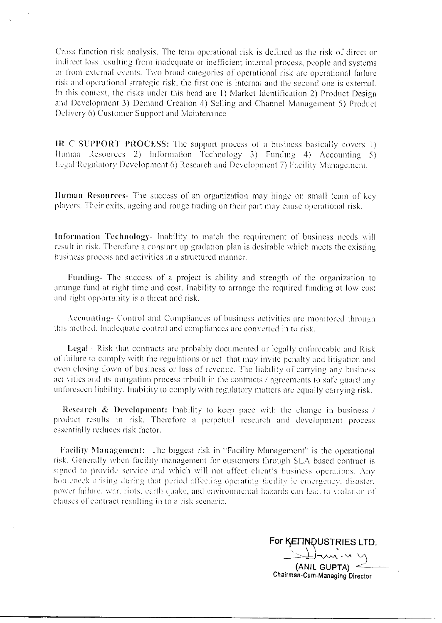Cross function risk analysis. The term operational risk is defined as the risk of direct or indirect loss resulting from inadequate or inefficient internal process, people and systems or from external events. Two broad categories of operational risk are operational failure risk and operational strategic risk, the first one is internal and the second one is external. In this context, the risks under this head are I) Market Identification 2) Product Design and Development 3) Demand Creation 4) Selling and Channel Management 5) Product Delivery 6) Customer Support and Maintenance

IR C SUPPORT PROCESS: The support process of a business basically covers I) I Inman Resources 2) Information Technology 3) Funding 4) Accounting 5) Legal Regulatory Development 6) Research and Development 7) Facility Management.

Human Resources- The success of an organization may hinge on small team of key players. Their exits, ageing and rouge trading on their part may cause operational risk.

Information Technology- Inability to match the requirement of business needs will result in risk. Therefore a constant up gradation plan is desirable which meets the existing business process and activities in a structured manner.

Funding- The success of a project is ability and strength of the organization to arrange fund at right time and cost. Inability to arrange the required funding at low cost and right opportunity is a threat and risk.

Accounting- Control and Compliances of business activities arc monitored through this method. Inadequate control and compliances arc converted in to risk.

Legal - Risk that contracts are probably documented or legally enforceable and Risk of failure to comply with the regulations or act that may invite penalty and litigation and even closing down of business or loss of revenue. The liability of carrying any business activities and its mitigation process inbuilt in the contracts / agreements to safe guard any unforeseen liability. Inability to comply with regulatory matters are equally carrying risk.

Research & Development: Inability to keep pace with the change in business / product results in risk. Therefore a perpetual research and development process essentially reduces risk factor.

Facility Nlanagement: The biggest risk in "Facility Management" is the operational risk. Generally when facility management for customers through SLA based contract is signed to provide service and which will not affect client's business operations. Any risk. Generally when facility management for customers through SLA based contract is<br>signed to provide service and which will not affect client's business operations. Any<br>bottleneck arising during that period affecting ope power failure, war, riots, earth quake, and environmental hazards can lead to violation of clauses of contract resulting in to a risk scenario.

For **KEITINDUSTRIES LTD.** (ANIL GUPTA) Chairman-Cum-Managing Director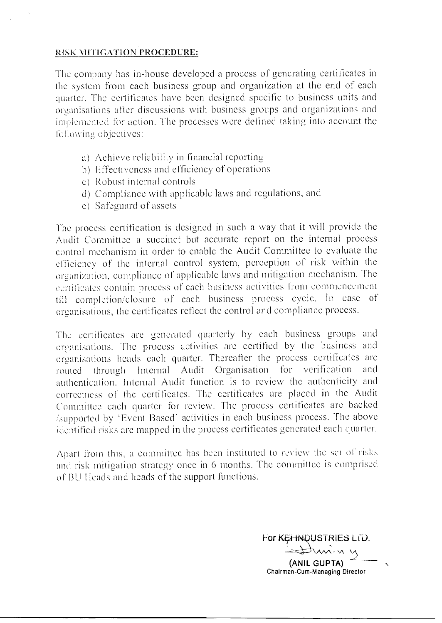#### RISK MITIGATION PROCEDURE:

The company has in-house developed a process of generating certificates in the system from each business group and organization at the end of each quarter. The certificates have been designed specific to business units and organisations alter discussions with business groups and organizations and implemented for action. The processes were defined taking into account the following objectives:

- a) Achieve reliability in financial reporting
- b) Effectiveness and efficiency of operations
- c) Robust internal controls
- d) Compliance with applicable laws and regulations, and
- e) Safeguard of assets

The process certification is designed in such a way that it will provide the Audit Committee a succinct but accurate report on the internal process control mechanism in order to enable the Audit Committee to evaluate the efficiency of the internal control system, perception of risk within the organization, compliance of applicable laws and mitigation mechanism. The certificates contain process of each business activities from commencement till completion/closure of each business process cycle. In ease of organisations, the certificates reflect the control and compliance process.

The certificates are generated quarterly by each business groups and organisations. The process activities are certified by the business and organisations heads each quarter. Thereafter the process certificates are routed through Internal Audit Organisation for verification and authentication. Internal Audit function is to review the authenticity and correctness of the certificates. The certificates are placed in the Audit Committee each quarter For review. The process certificates are backed /supported by 'Event Based' activities in each business process. The above identified risks are mapped in the process certificates generated each quarter.

Apart from this, a committee has been instituted to review the set of risks and risk mitigation strategy once in 6 months. The committee is comprised of BU Heads and heads of the support functions.

For KEI-INDUSTRIES LTD.

(ANIL GUPTA) Chairman-Cum-Managing Director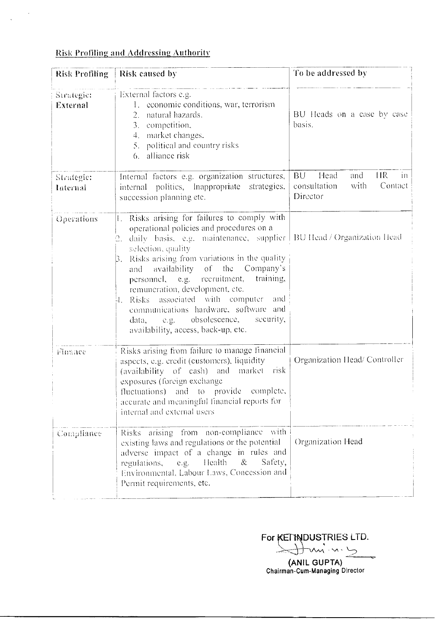#### Risk Profiling and Addressing Authority

 $\mathcal{L}_{\text{eff}}$ 

 $\hat{\mathbf{v}}$ 

| Risk Profiling         | Risk caused by                                                                                                                                                                                                                                                                                                                                                                                                                                                                                                                                       | To be addressed by                                                                      |  |
|------------------------|------------------------------------------------------------------------------------------------------------------------------------------------------------------------------------------------------------------------------------------------------------------------------------------------------------------------------------------------------------------------------------------------------------------------------------------------------------------------------------------------------------------------------------------------------|-----------------------------------------------------------------------------------------|--|
| Strategie:<br>External | External factors e.g.<br>1. economic conditions, war, terrorism<br>2. natural hazards.<br>3. competition,<br>4. market changes.<br>5. political and country risks<br>alliance risk<br>6.                                                                                                                                                                                                                                                                                                                                                             | BU Heads on a case by case<br>basis.                                                    |  |
| Strategie:<br>Internal | Internal factors e.g. organization structures,<br>internal politics, Inappropriate strategies,<br>succession planning etc.                                                                                                                                                                                                                                                                                                                                                                                                                           | <b>HR</b><br>BU<br>Head<br>and<br>$-$ in<br>Contact<br>with<br>consultation<br>Director |  |
| Operations             | Risks arising for failures to comply with<br>Ι.<br>operational policies and procedures on a<br>daily basis, e.g. maintenance, supplier   BU Head / Organization Head<br>selection, quality<br>Risks arising from variations in the quality<br>β.<br>availability of the Company's<br>and<br>personnel, e.g. recruitment,<br>training,<br>remuneration, development, etc.<br>Risks associated with computer<br>and.<br>Ч.<br>communications hardware, software and<br>e.g. obsolescence,<br>security,<br>data,<br>availability, access, back-up, etc. |                                                                                         |  |
| Finance                | Risks arising from failure to manage financial<br>aspects, e.g. credit (customers), liquidity<br>(availability of cash) and market risk<br>exposures (foreign exchange)<br>fluctuations) and to provide complete,<br>accurate and meaningful financial reports for<br>internal and external users                                                                                                                                                                                                                                                    | Organization Head/Controller                                                            |  |
| Compliance             | Risks arising from non-compliance with<br>existing laws and regulations or the potential<br>adverse impact of a change in rules and<br>Health<br>$\&$<br>Safety,<br>regulations,<br>$C. \underline{g}$ .<br>Environmental, Labour Laws, Concession and<br>Permit requirements, etc.                                                                                                                                                                                                                                                                  | Organization Head                                                                       |  |

DUSTRIES LTD. For

(ANIL GUPTA) Chairman-Cum-Managing Director

 $\sim$   $\sim$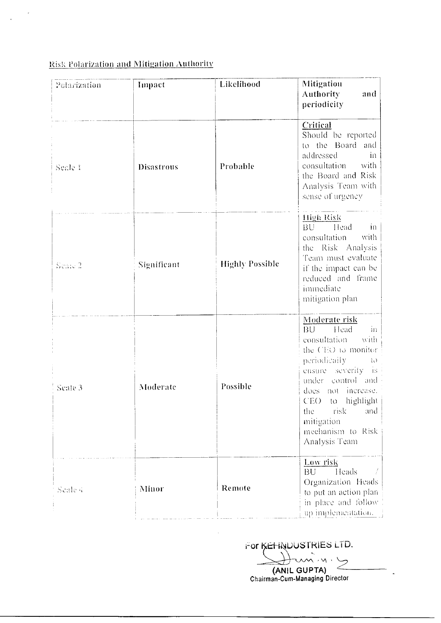## Risk Polarization and Mitigation Authority

 $\overline{\phantom{a}}$ 

| Polarization | Impact            | Likelihood             | Mitigation<br><b>Authority</b><br>and<br>periodicity                                                                                                                                                                                                                               |
|--------------|-------------------|------------------------|------------------------------------------------------------------------------------------------------------------------------------------------------------------------------------------------------------------------------------------------------------------------------------|
| Scale 1      | <b>Disastrous</b> | Probable               | Critical<br>Should be reported<br>to the Board and<br>addressed<br>in<br>consultation with<br>the Board and Risk<br>Analysis Team with<br>sense of urgency                                                                                                                         |
| Sento 2      | Significant       | <b>Highly Possible</b> | High Risk<br>BU Head<br>10 <sub>1</sub><br>with<br>consultation<br>the Risk Analysis<br>Team must evaluate<br>if the impact can be<br>reduced and frame<br>immediate<br>mitigation plan                                                                                            |
| Scale 3      | Moderate          | Possible               | Moderate risk<br>BU Head<br>$1 \Gamma$<br>consultation<br>with<br>the CEO to monitor.<br>periodically<br>$\cup$<br>ensure severity is<br>under control and<br>does not increase.<br>to highlight<br>CEO.<br>the<br>risk<br>and<br>mitigation<br>mechanism to Risk<br>Analysis Team |
| Scale 4      | Minor             | Remote                 | Low risk<br>Heads<br><b>BU</b><br>Organization Heads<br>to put an action plan<br>in place and follow<br>up implementation.                                                                                                                                                         |

For KEHNUUSTRIES LTD.  $\frac{1}{\sqrt{2}}$  ipta)

(ANIL GUPTA) Chairman-Cum-Managing Director

 $\ddot{\phantom{a}}$